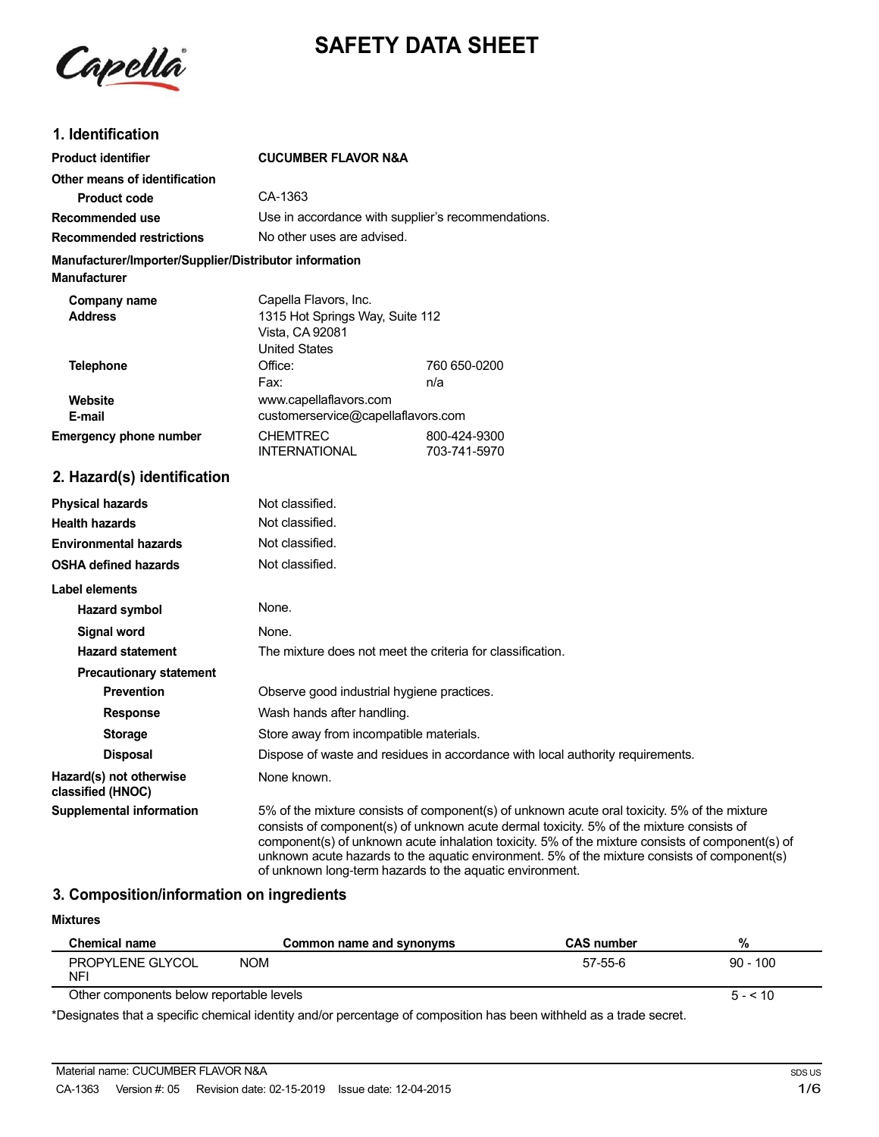

# **SAFETY DATA SHEET**

## **1. Identification**

| <b>Product identifier</b>                                                     | <b>CUCUMBER FLAVOR N&amp;A</b>                                                                      |                              |
|-------------------------------------------------------------------------------|-----------------------------------------------------------------------------------------------------|------------------------------|
| Other means of identification                                                 |                                                                                                     |                              |
| Product code                                                                  | CA-1363                                                                                             |                              |
| Recommended use                                                               | Use in accordance with supplier's recommendations.                                                  |                              |
| <b>Recommended restrictions</b>                                               | No other uses are advised.                                                                          |                              |
| Manufacturer/Importer/Supplier/Distributor information<br><b>Manufacturer</b> |                                                                                                     |                              |
| Company name<br><b>Address</b>                                                | Capella Flavors, Inc.<br>1315 Hot Springs Way, Suite 112<br>Vista, CA 92081<br><b>United States</b> |                              |
| <b>Telephone</b>                                                              | Office:                                                                                             | 760 650-0200                 |
|                                                                               | Fax:                                                                                                | n/a                          |
| Website                                                                       | www.capellaflavors.com                                                                              |                              |
| E-mail                                                                        | customerservice@capellaflavors.com                                                                  |                              |
| <b>Emergency phone number</b>                                                 | <b>CHEMTREC</b><br><b>INTERNATIONAL</b>                                                             | 800-424-9300<br>703-741-5970 |
| 2. Hazard(s) identification                                                   |                                                                                                     |                              |
| <b>Physical hazards</b>                                                       | Not classified.                                                                                     |                              |
| <b>Health hazards</b>                                                         | Not classified.                                                                                     |                              |
| <b>Environmental hazards</b>                                                  | Not classified.                                                                                     |                              |
| <b>OSHA defined hazards</b>                                                   | Not classified.                                                                                     |                              |
| <b>Label elements</b>                                                         |                                                                                                     |                              |
|                                                                               |                                                                                                     |                              |
| <b>Hazard symbol</b>                                                          | None.                                                                                               |                              |

| <b>Hazard statement</b>                      | The mixture does not meet the criteria for classification.                                                                                                                                                                                                                                   |
|----------------------------------------------|----------------------------------------------------------------------------------------------------------------------------------------------------------------------------------------------------------------------------------------------------------------------------------------------|
| <b>Precautionary statement</b>               |                                                                                                                                                                                                                                                                                              |
| <b>Prevention</b>                            | Observe good industrial hygiene practices.                                                                                                                                                                                                                                                   |
| <b>Response</b>                              | Wash hands after handling.                                                                                                                                                                                                                                                                   |
| <b>Storage</b>                               | Store away from incompatible materials.                                                                                                                                                                                                                                                      |
| <b>Disposal</b>                              | Dispose of waste and residues in accordance with local authority requirements.                                                                                                                                                                                                               |
| Hazard(s) not otherwise<br>classified (HNOC) | None known.                                                                                                                                                                                                                                                                                  |
| <b>Supplemental information</b>              | 5% of the mixture consists of component(s) of unknown acute oral toxicity. 5% of the mixture<br>consists of component(s) of unknown acute dermal toxicity. 5% of the mixture consists of<br>component(s) of unknown acute inhalation toxicity. 5% of the mixture consists of component(s) of |

### **3. Composition/information on ingredients**

| <b>Mixtures</b>                                                                                                    |                          |                   |            |
|--------------------------------------------------------------------------------------------------------------------|--------------------------|-------------------|------------|
| Chemical name                                                                                                      | Common name and synonyms | <b>CAS number</b> | %          |
| PROPYLENE GLYCOL<br>NFI                                                                                            | NOM                      | 57-55-6           | $90 - 100$ |
| Other components below reportable levels                                                                           |                          |                   | $5 - 510$  |
| *Decignates that a specific chemical identity and/or perceptage of composition has been withheld as a trade secret |                          |                   |            |

of unknown long-term hazards to the aquatic environment.

unknown acute hazards to the aquatic environment. 5% of the mixture consists of component(s)

\*Designates that a specific chemical identity and/or percentage of composition has been withheld as a trade secret.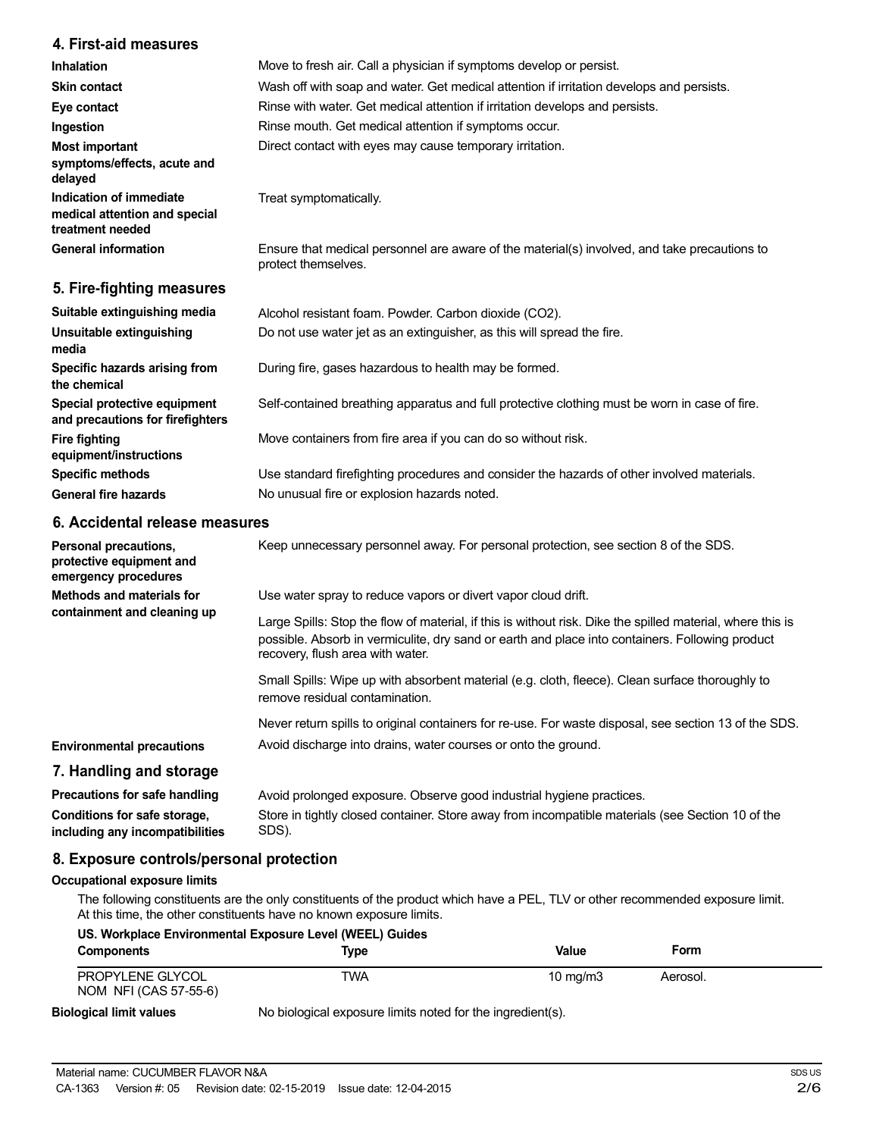## **4. First-aid measures**

| Inhalation                                                                   | Move to fresh air. Call a physician if symptoms develop or persist.                                                 |
|------------------------------------------------------------------------------|---------------------------------------------------------------------------------------------------------------------|
| <b>Skin contact</b>                                                          | Wash off with soap and water. Get medical attention if irritation develops and persists.                            |
| Eye contact                                                                  | Rinse with water. Get medical attention if irritation develops and persists.                                        |
| Ingestion                                                                    | Rinse mouth. Get medical attention if symptoms occur.                                                               |
| <b>Most important</b><br>symptoms/effects, acute and<br>delayed              | Direct contact with eyes may cause temporary irritation.                                                            |
| Indication of immediate<br>medical attention and special<br>treatment needed | Treat symptomatically.                                                                                              |
| <b>General information</b>                                                   | Ensure that medical personnel are aware of the material(s) involved, and take precautions to<br>protect themselves. |
| 5. Fire-fighting measures                                                    |                                                                                                                     |

| Alcohol resistant foam. Powder. Carbon dioxide (CO2).                                         |
|-----------------------------------------------------------------------------------------------|
| Do not use water jet as an extinguisher, as this will spread the fire.                        |
| During fire, gases hazardous to health may be formed.                                         |
| Self-contained breathing apparatus and full protective clothing must be worn in case of fire. |
| Move containers from fire area if you can do so without risk.                                 |
| Use standard firefighting procedures and consider the hazards of other involved materials.    |
| No unusual fire or explosion hazards noted.                                                   |
|                                                                                               |

## **6. Accidental release measures**

| Personal precautions,<br>protective equipment and<br>emergency procedures | Keep unnecessary personnel away. For personal protection, see section 8 of the SDS.                                                                                                                                                               |
|---------------------------------------------------------------------------|---------------------------------------------------------------------------------------------------------------------------------------------------------------------------------------------------------------------------------------------------|
| Methods and materials for                                                 | Use water spray to reduce vapors or divert vapor cloud drift.                                                                                                                                                                                     |
| containment and cleaning up                                               | Large Spills: Stop the flow of material, if this is without risk. Dike the spilled material, where this is<br>possible. Absorb in vermiculite, dry sand or earth and place into containers. Following product<br>recovery, flush area with water. |
|                                                                           | Small Spills: Wipe up with absorbent material (e.g. cloth, fleece). Clean surface thoroughly to<br>remove residual contamination.                                                                                                                 |
|                                                                           | Never return spills to original containers for re-use. For waste disposal, see section 13 of the SDS.                                                                                                                                             |
| <b>Environmental precautions</b>                                          | Avoid discharge into drains, water courses or onto the ground.                                                                                                                                                                                    |
| 7. Handling and storage                                                   |                                                                                                                                                                                                                                                   |
| Precautions for safe handling                                             | Avoid prolonged exposure. Observe good industrial hygiene practices.                                                                                                                                                                              |
| Conditions for safe storage,<br>including any incompatibilities           | Store in tightly closed container. Store away from incompatible materials (see Section 10 of the<br>SDS).                                                                                                                                         |

## **8. Exposure controls/personal protection**

#### **Occupational exposure limits**

The following constituents are the only constituents of the product which have a PEL, TLV or other recommended exposure limit. At this time, the other constituents have no known exposure limits.

| US. Workplace Environmental Exposure Level (WEEL) Guides |                                                            |            |          |  |
|----------------------------------------------------------|------------------------------------------------------------|------------|----------|--|
| <b>Components</b>                                        | Tvpe                                                       | Value      | Form     |  |
| PROPYLENE GLYCOL<br>NOM NFI (CAS 57-55-6)                | TWA                                                        | 10 $mq/m3$ | Aerosol. |  |
| <b>Biological limit values</b>                           | No biological exposure limits noted for the ingredient(s). |            |          |  |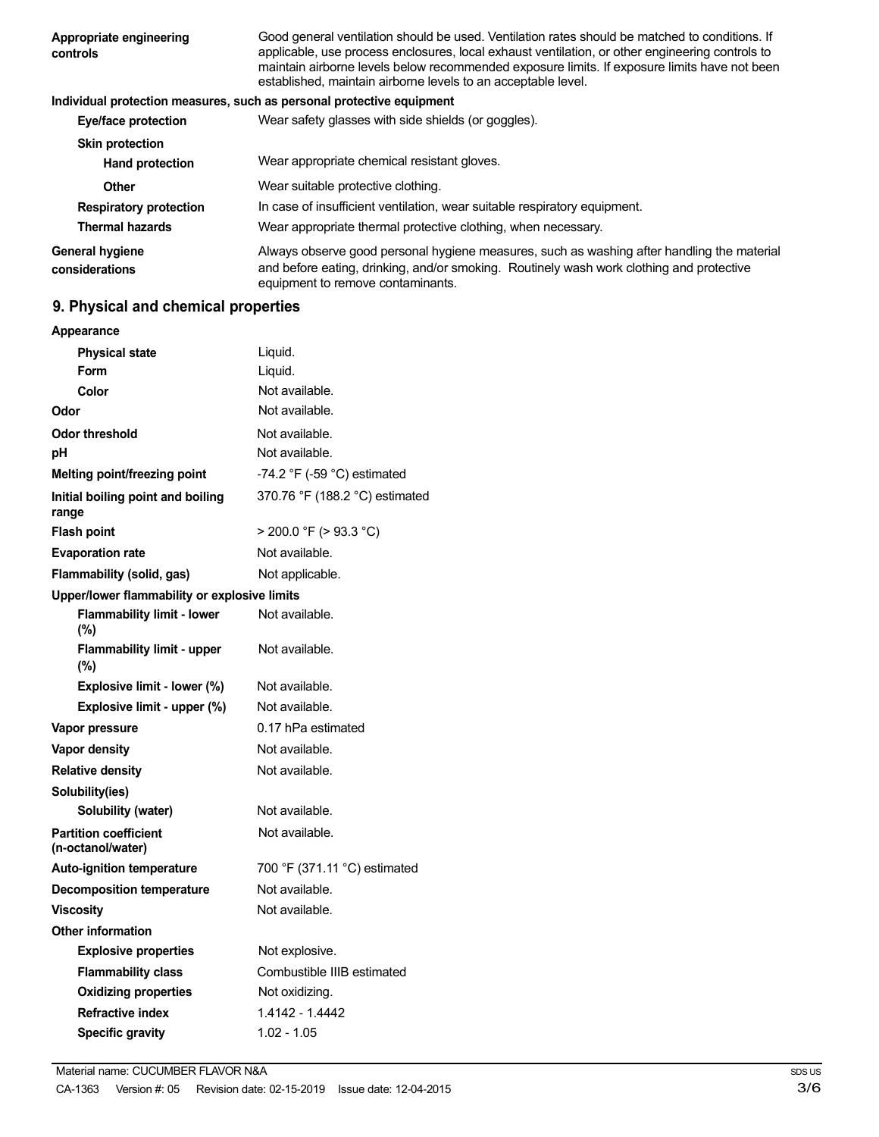| Appropriate engineering<br>controls | Good general ventilation should be used. Ventilation rates should be matched to conditions. If<br>applicable, use process enclosures, local exhaust ventilation, or other engineering controls to<br>maintain airborne levels below recommended exposure limits. If exposure limits have not been<br>established, maintain airborne levels to an acceptable level. |
|-------------------------------------|--------------------------------------------------------------------------------------------------------------------------------------------------------------------------------------------------------------------------------------------------------------------------------------------------------------------------------------------------------------------|
|                                     | Individual protection measures, such as personal protective equipment                                                                                                                                                                                                                                                                                              |
| Eye/face protection                 | Wear safety glasses with side shields (or goggles).                                                                                                                                                                                                                                                                                                                |
| <b>Skin protection</b>              |                                                                                                                                                                                                                                                                                                                                                                    |
| <b>Hand protection</b>              | Wear appropriate chemical resistant gloves.                                                                                                                                                                                                                                                                                                                        |
| Other                               | Wear suitable protective clothing.                                                                                                                                                                                                                                                                                                                                 |
| <b>Respiratory protection</b>       | In case of insufficient ventilation, wear suitable respiratory equipment.                                                                                                                                                                                                                                                                                          |
| <b>Thermal hazards</b>              | Wear appropriate thermal protective clothing, when necessary.                                                                                                                                                                                                                                                                                                      |
| General hygiene<br>considerations   | Always observe good personal hygiene measures, such as washing after handling the material<br>and before eating, drinking, and/or smoking. Routinely wash work clothing and protective<br>equipment to remove contaminants.                                                                                                                                        |

## **9. Physical and chemical properties**

| <b>Appearance</b>                                 |                                               |
|---------------------------------------------------|-----------------------------------------------|
| <b>Physical state</b>                             | Liquid.                                       |
| Form                                              | Liquid.                                       |
| Color                                             | Not available.                                |
| Odor                                              | Not available.                                |
| <b>Odor threshold</b>                             | Not available.                                |
| рH                                                | Not available.                                |
| Melting point/freezing point                      | -74.2 $\degree$ F (-59 $\degree$ C) estimated |
| Initial boiling point and boiling<br>range        | 370.76 °F (188.2 °C) estimated                |
| <b>Flash point</b>                                | $>$ 200.0 °F ( $>$ 93.3 °C)                   |
| <b>Evaporation rate</b>                           | Not available.                                |
| Flammability (solid, gas)                         | Not applicable.                               |
| Upper/lower flammability or explosive limits      |                                               |
| <b>Flammability limit - lower</b><br>$(\% )$      | Not available.                                |
| <b>Flammability limit - upper</b><br>(%)          | Not available.                                |
| Explosive limit - lower (%)                       | Not available.                                |
| Explosive limit - upper (%)                       | Not available.                                |
| Vapor pressure                                    | 0.17 hPa estimated                            |
| Vapor density                                     | Not available.                                |
| <b>Relative density</b>                           | Not available.                                |
| Solubility(ies)                                   |                                               |
| Solubility (water)                                | Not available.                                |
| <b>Partition coefficient</b><br>(n-octanol/water) | Not available.                                |
| <b>Auto-ignition temperature</b>                  | 700 °F (371.11 °C) estimated                  |
| <b>Decomposition temperature</b>                  | Not available.                                |
| <b>Viscositv</b>                                  | Not available.                                |
| <b>Other information</b>                          |                                               |
| <b>Explosive properties</b>                       | Not explosive.                                |
| <b>Flammability class</b>                         | Combustible IIIB estimated                    |
| <b>Oxidizing properties</b>                       | Not oxidizing.                                |
| <b>Refractive index</b>                           | 1.4142 - 1.4442                               |
| <b>Specific gravity</b>                           | $1.02 - 1.05$                                 |
|                                                   |                                               |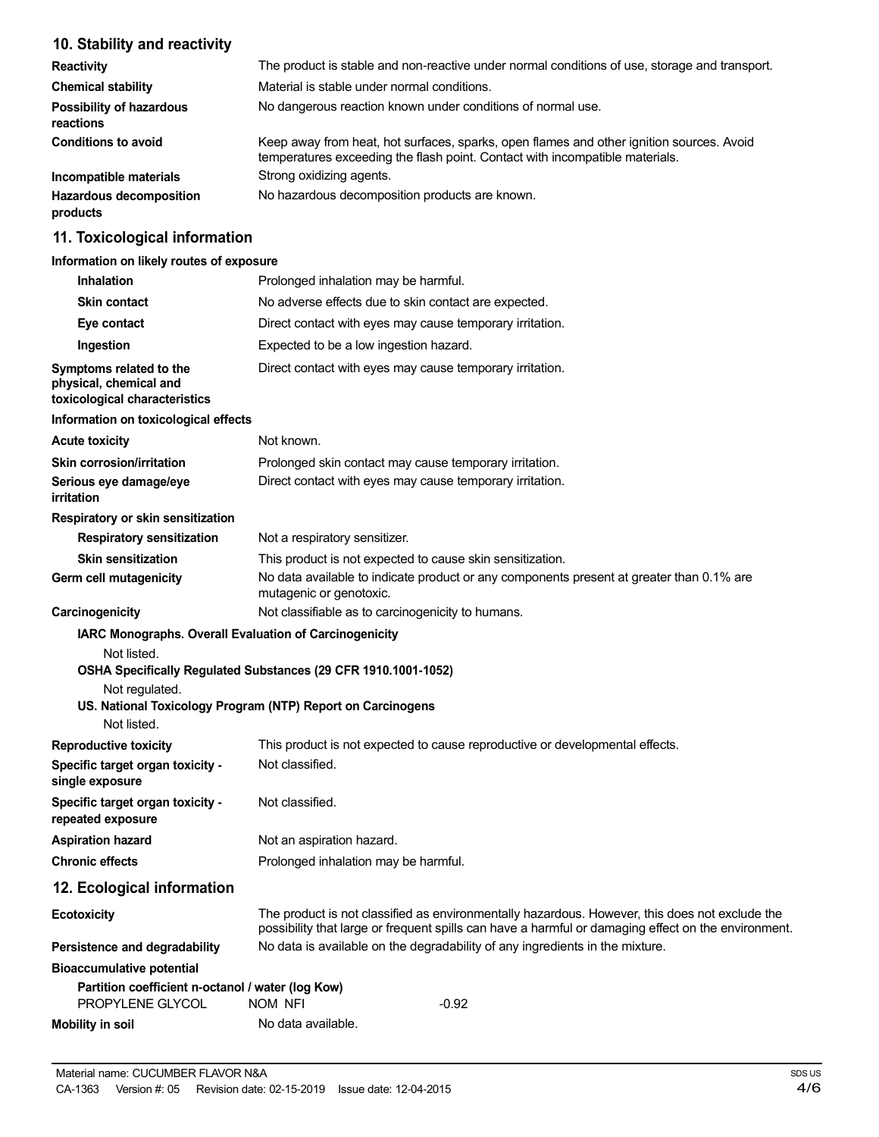## **10. Stability and reactivity**

| <b>Reactivity</b>                            | The product is stable and non-reactive under normal conditions of use, storage and transport.                                                                            |
|----------------------------------------------|--------------------------------------------------------------------------------------------------------------------------------------------------------------------------|
| <b>Chemical stability</b>                    | Material is stable under normal conditions.                                                                                                                              |
| <b>Possibility of hazardous</b><br>reactions | No dangerous reaction known under conditions of normal use.                                                                                                              |
| <b>Conditions to avoid</b>                   | Keep away from heat, hot surfaces, sparks, open flames and other ignition sources. Avoid<br>temperatures exceeding the flash point. Contact with incompatible materials. |
| Incompatible materials                       | Strong oxidizing agents.                                                                                                                                                 |
| <b>Hazardous decomposition</b><br>products   | No hazardous decomposition products are known.                                                                                                                           |

## **11. Toxicological information**

## **Information on likely routes of exposure**

| <b>Inhalation</b>                                                                                      | Prolonged inhalation may be harmful.                                                                                                                                                                  |
|--------------------------------------------------------------------------------------------------------|-------------------------------------------------------------------------------------------------------------------------------------------------------------------------------------------------------|
| <b>Skin contact</b>                                                                                    | No adverse effects due to skin contact are expected.                                                                                                                                                  |
| Eye contact                                                                                            | Direct contact with eyes may cause temporary irritation.                                                                                                                                              |
| Ingestion                                                                                              | Expected to be a low ingestion hazard.                                                                                                                                                                |
| Symptoms related to the<br>physical, chemical and<br>toxicological characteristics                     | Direct contact with eyes may cause temporary irritation.                                                                                                                                              |
| Information on toxicological effects                                                                   |                                                                                                                                                                                                       |
| <b>Acute toxicity</b>                                                                                  | Not known.                                                                                                                                                                                            |
| <b>Skin corrosion/irritation</b><br>Serious eye damage/eye<br>irritation                               | Prolonged skin contact may cause temporary irritation.<br>Direct contact with eyes may cause temporary irritation.                                                                                    |
| Respiratory or skin sensitization                                                                      |                                                                                                                                                                                                       |
| <b>Respiratory sensitization</b>                                                                       | Not a respiratory sensitizer.                                                                                                                                                                         |
| <b>Skin sensitization</b>                                                                              | This product is not expected to cause skin sensitization.                                                                                                                                             |
| Germ cell mutagenicity                                                                                 | No data available to indicate product or any components present at greater than 0.1% are<br>mutagenic or genotoxic.                                                                                   |
| Carcinogenicity                                                                                        | Not classifiable as to carcinogenicity to humans.                                                                                                                                                     |
| IARC Monographs. Overall Evaluation of Carcinogenicity<br>Not listed.<br>Not regulated.<br>Not listed. | OSHA Specifically Regulated Substances (29 CFR 1910.1001-1052)<br>US. National Toxicology Program (NTP) Report on Carcinogens                                                                         |
| <b>Reproductive toxicity</b>                                                                           | This product is not expected to cause reproductive or developmental effects.                                                                                                                          |
| Specific target organ toxicity -<br>single exposure                                                    | Not classified.                                                                                                                                                                                       |
| Specific target organ toxicity -<br>repeated exposure                                                  | Not classified.                                                                                                                                                                                       |
| <b>Aspiration hazard</b>                                                                               | Not an aspiration hazard.                                                                                                                                                                             |
| <b>Chronic effects</b>                                                                                 | Prolonged inhalation may be harmful.                                                                                                                                                                  |
| 12. Ecological information                                                                             |                                                                                                                                                                                                       |
| <b>Ecotoxicity</b>                                                                                     | The product is not classified as environmentally hazardous. However, this does not exclude the<br>possibility that large or frequent spills can have a harmful or damaging effect on the environment. |
| Persistence and degradability                                                                          | No data is available on the degradability of any ingredients in the mixture.                                                                                                                          |
| <b>Bioaccumulative potential</b>                                                                       |                                                                                                                                                                                                       |
| Partition coefficient n-octanol / water (log Kow)<br>PROPYLENE GLYCOL                                  | $-0.92$<br>NOM NFI                                                                                                                                                                                    |
| <b>Mobility in soil</b>                                                                                | No data available.                                                                                                                                                                                    |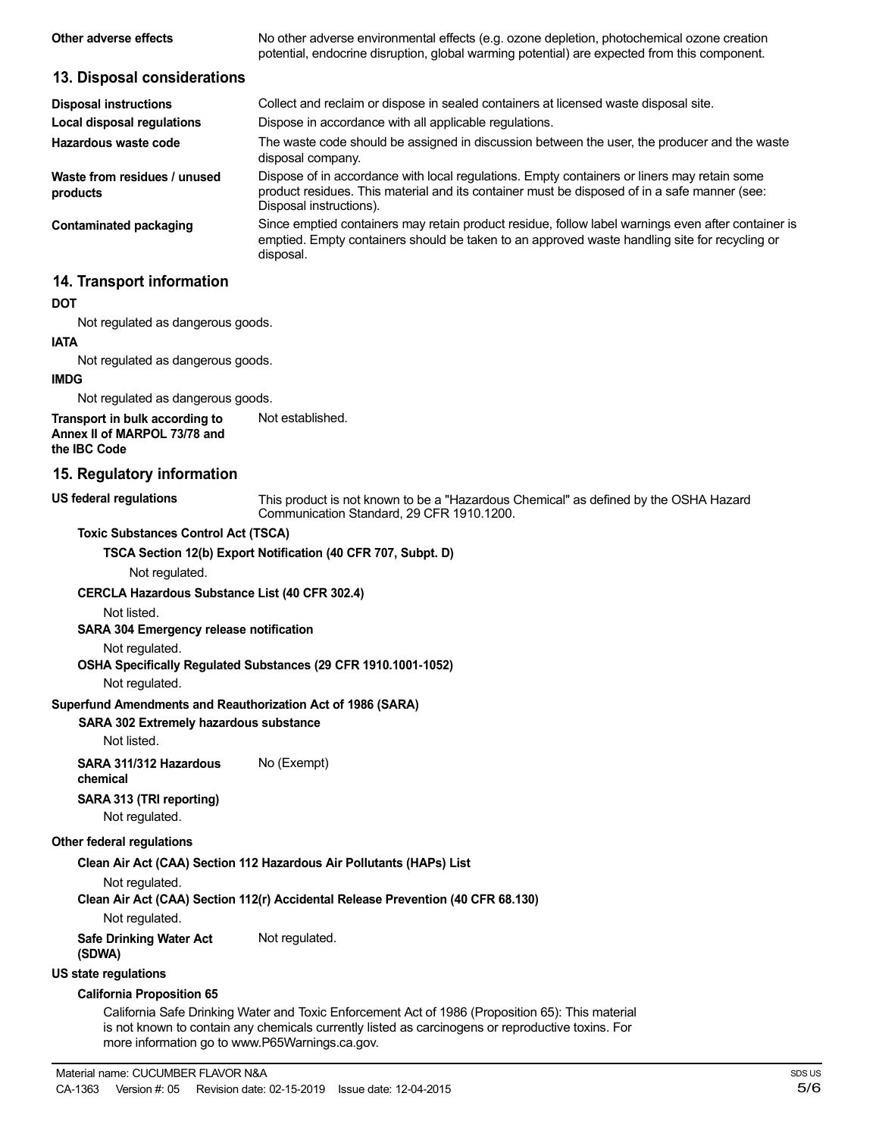| Other adverse effects                    | No other adverse environmental effects (e.g. ozone depletion, photochemical ozone creation<br>potential, endocrine disruption, global warming potential) are expected from this component.                             |
|------------------------------------------|------------------------------------------------------------------------------------------------------------------------------------------------------------------------------------------------------------------------|
| 13. Disposal considerations              |                                                                                                                                                                                                                        |
| <b>Disposal instructions</b>             | Collect and reclaim or dispose in sealed containers at licensed waste disposal site.                                                                                                                                   |
| Local disposal regulations               | Dispose in accordance with all applicable regulations.                                                                                                                                                                 |
| Hazardous waste code                     | The waste code should be assigned in discussion between the user, the producer and the waste<br>disposal company.                                                                                                      |
| Waste from residues / unused<br>products | Dispose of in accordance with local regulations. Empty containers or liners may retain some<br>product residues. This material and its container must be disposed of in a safe manner (see:<br>Disposal instructions). |
| <b>Contaminated packaging</b>            | Since emptied containers may retain product residue, follow label warnings even after container is<br>emptied. Empty containers should be taken to an approved waste handling site for recycling or<br>disposal.       |
| 14. Transport information                |                                                                                                                                                                                                                        |
| <b>DOT</b>                               |                                                                                                                                                                                                                        |
| Not regulated as dangerous goods.        |                                                                                                                                                                                                                        |
| <b>IATA</b>                              |                                                                                                                                                                                                                        |
| Not regulated as dangerous goods.        |                                                                                                                                                                                                                        |
| <b>IMDG</b>                              |                                                                                                                                                                                                                        |
| Not regulated as dangerous goods.        |                                                                                                                                                                                                                        |
| Transport in bulk according to           | Not established.                                                                                                                                                                                                       |

**Annex II of MARPOL 73/78 and the IBC Code**

#### **15. Regulatory information**

#### **US federal regulations**

This product is not known to be a "Hazardous Chemical" as defined by the OSHA Hazard Communication Standard, 29 CFR 1910.1200.

#### **Toxic Substances Control Act (TSCA)**

**TSCA Section 12(b) Export Notification (40 CFR 707, Subpt. D)**

Not regulated.

#### **CERCLA Hazardous Substance List (40 CFR 302.4)**

Not listed.

#### **SARA 304 Emergency release notification**

Not regulated.

#### **OSHA Specifically Regulated Substances (29 CFR 1910.1001-1052)**

Not regulated.

#### **Superfund Amendments and Reauthorization Act of 1986 (SARA)**

### **SARA 302 Extremely hazardous substance**

Not listed.

**SARA 311/312 Hazardous** No (Exempt) **chemical**

## **SARA 313 (TRI reporting)**

Not regulated.

#### **Other federal regulations**

### **Clean Air Act (CAA) Section 112 Hazardous Air Pollutants (HAPs) List**

Not regulated.

**Clean Air Act (CAA) Section 112(r) Accidental Release Prevention (40 CFR 68.130)**

Not regulated.

**Safe Drinking Water Act** Not regulated.

## **(SDWA)**

## **US state regulations**

#### **California Proposition 65**

California Safe Drinking Water and Toxic Enforcement Act of 1986 (Proposition 65): This material is not known to contain any chemicals currently listed as carcinogens or reproductive toxins. For more information go to www.P65Warnings.ca.gov.